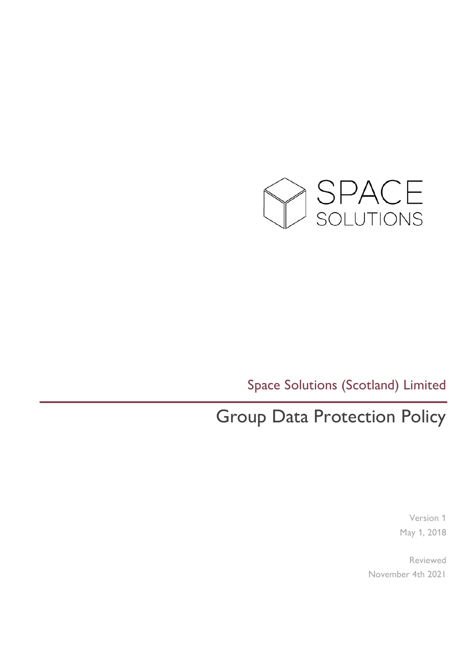

Space Solutions (Scotland) Limited

# Group Data Protection Policy

Version 1 May 1, 2018

Reviewed November 4th 2021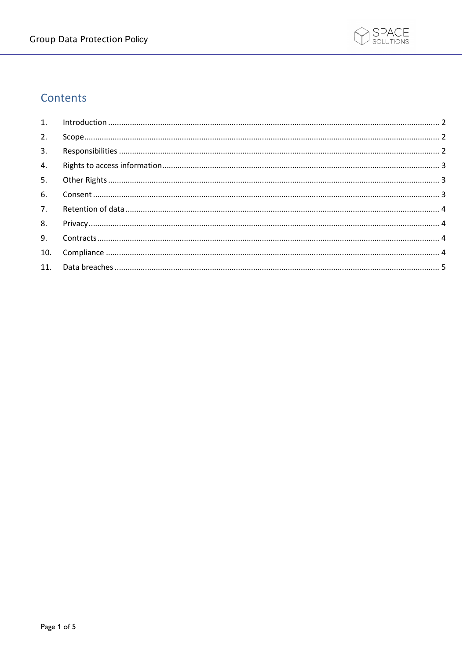

## Contents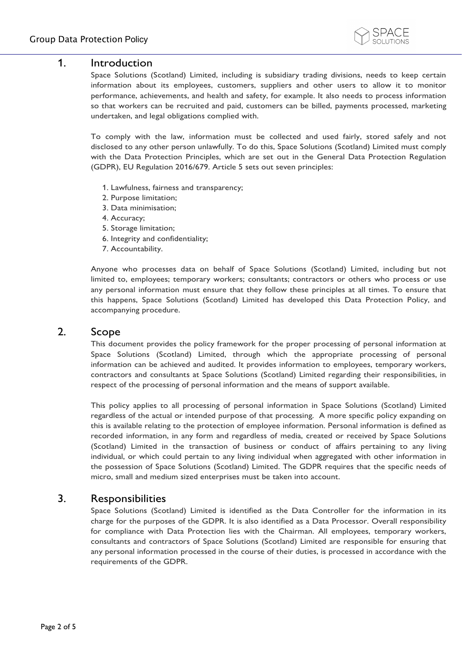

## <span id="page-2-0"></span>1. Introduction

Space Solutions (Scotland) Limited, including is subsidiary trading divisions, needs to keep certain information about its employees, customers, suppliers and other users to allow it to monitor performance, achievements, and health and safety, for example. It also needs to process information so that workers can be recruited and paid, customers can be billed, payments processed, marketing undertaken, and legal obligations complied with.

To comply with the law, information must be collected and used fairly, stored safely and not disclosed to any other person unlawfully. To do this, Space Solutions (Scotland) Limited must comply with the Data Protection Principles, which are set out in the General Data Protection Regulation (GDPR), EU Regulation 2016/679. Article 5 sets out seven principles:

- 1. Lawfulness, fairness and transparency;
- 2. Purpose limitation;
- 3. Data minimisation;
- 4. Accuracy;
- 5. Storage limitation;
- 6. Integrity and confidentiality;
- 7. Accountability.

Anyone who processes data on behalf of Space Solutions (Scotland) Limited, including but not limited to, employees; temporary workers; consultants; contractors or others who process or use any personal information must ensure that they follow these principles at all times. To ensure that this happens, Space Solutions (Scotland) Limited has developed this Data Protection Policy, and accompanying procedure.

#### <span id="page-2-1"></span>2. Scope

This document provides the policy framework for the proper processing of personal information at Space Solutions (Scotland) Limited, through which the appropriate processing of personal information can be achieved and audited. It provides information to employees, temporary workers, contractors and consultants at Space Solutions (Scotland) Limited regarding their responsibilities, in respect of the processing of personal information and the means of support available.

This policy applies to all processing of personal information in Space Solutions (Scotland) Limited regardless of the actual or intended purpose of that processing. A more specific policy expanding on this is available relating to the protection of employee information. Personal information is defined as recorded information, in any form and regardless of media, created or received by Space Solutions (Scotland) Limited in the transaction of business or conduct of affairs pertaining to any living individual, or which could pertain to any living individual when aggregated with other information in the possession of Space Solutions (Scotland) Limited. The GDPR requires that the specific needs of micro, small and medium sized enterprises must be taken into account.

## <span id="page-2-2"></span>3. Responsibilities

Space Solutions (Scotland) Limited is identified as the Data Controller for the information in its charge for the purposes of the GDPR. It is also identified as a Data Processor. Overall responsibility for compliance with Data Protection lies with the Chairman. All employees, temporary workers, consultants and contractors of Space Solutions (Scotland) Limited are responsible for ensuring that any personal information processed in the course of their duties, is processed in accordance with the requirements of the GDPR.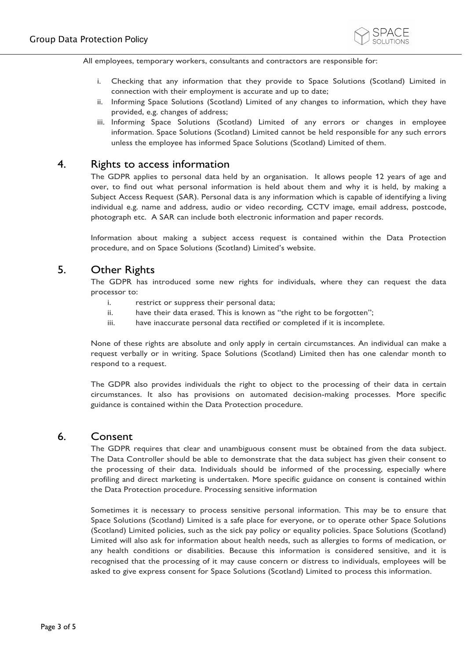

All employees, temporary workers, consultants and contractors are responsible for:

- i. Checking that any information that they provide to Space Solutions (Scotland) Limited in connection with their employment is accurate and up to date;
- ii. Informing Space Solutions (Scotland) Limited of any changes to information, which they have provided, e.g. changes of address;
- iii. Informing Space Solutions (Scotland) Limited of any errors or changes in employee information. Space Solutions (Scotland) Limited cannot be held responsible for any such errors unless the employee has informed Space Solutions (Scotland) Limited of them.

#### <span id="page-3-0"></span>4. Rights to access information

The GDPR applies to personal data held by an organisation. It allows people 12 years of age and over, to find out what personal information is held about them and why it is held, by making a Subject Access Request (SAR). Personal data is any information which is capable of identifying a living individual e.g. name and address, audio or video recording, CCTV image, email address, postcode, photograph etc. A SAR can include both electronic information and paper records.

Information about making a subject access request is contained within the Data Protection procedure, and on Space Solutions (Scotland) Limited's website.

## <span id="page-3-1"></span>5. Other Rights

The GDPR has introduced some new rights for individuals, where they can request the data processor to:

- i. restrict or suppress their personal data;
- ii. have their data erased. This is known as "the right to be forgotten";
- iii. have inaccurate personal data rectified or completed if it is incomplete.

None of these rights are absolute and only apply in certain circumstances. An individual can make a request verbally or in writing. Space Solutions (Scotland) Limited then has one calendar month to respond to a request.

The GDPR also provides individuals the right to object to the processing of their data in certain circumstances. It also has provisions on automated decision-making processes. More specific guidance is contained within the Data Protection procedure.

#### <span id="page-3-2"></span>6. Consent

The GDPR requires that clear and unambiguous consent must be obtained from the data subject. The Data Controller should be able to demonstrate that the data subject has given their consent to the processing of their data. Individuals should be informed of the processing, especially where profiling and direct marketing is undertaken. More specific guidance on consent is contained within the Data Protection procedure. Processing sensitive information

Sometimes it is necessary to process sensitive personal information. This may be to ensure that Space Solutions (Scotland) Limited is a safe place for everyone, or to operate other Space Solutions (Scotland) Limited policies, such as the sick pay policy or equality policies. Space Solutions (Scotland) Limited will also ask for information about health needs, such as allergies to forms of medication, or any health conditions or disabilities. Because this information is considered sensitive, and it is recognised that the processing of it may cause concern or distress to individuals, employees will be asked to give express consent for Space Solutions (Scotland) Limited to process this information.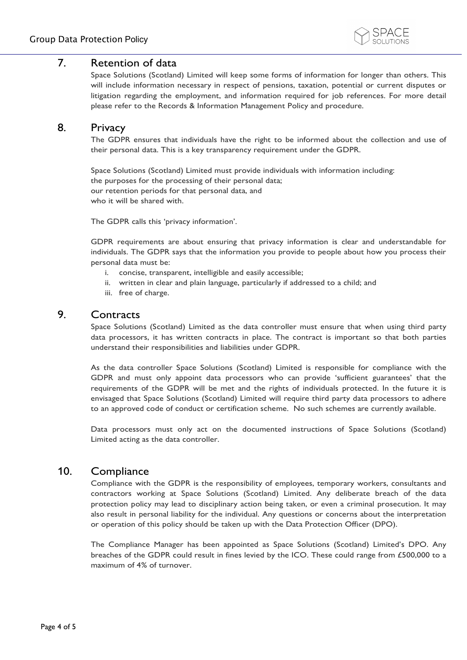

## <span id="page-4-0"></span>7. Retention of data

Space Solutions (Scotland) Limited will keep some forms of information for longer than others. This will include information necessary in respect of pensions, taxation, potential or current disputes or litigation regarding the employment, and information required for job references. For more detail please refer to the Records & Information Management Policy and procedure.

## <span id="page-4-1"></span>8. Privacy

The GDPR ensures that individuals have the right to be informed about the collection and use of their personal data. This is a key transparency requirement under the GDPR.

Space Solutions (Scotland) Limited must provide individuals with information including: the purposes for the processing of their personal data; our retention periods for that personal data, and who it will be shared with.

The GDPR calls this 'privacy information'.

GDPR requirements are about ensuring that privacy information is clear and understandable for individuals. The GDPR says that the information you provide to people about how you process their personal data must be:

- i. concise, transparent, intelligible and easily accessible;
- ii. written in clear and plain language, particularly if addressed to a child; and
- iii. free of charge.

## <span id="page-4-2"></span>9. Contracts

Space Solutions (Scotland) Limited as the data controller must ensure that when using third party data processors, it has written contracts in place. The contract is important so that both parties understand their responsibilities and liabilities under GDPR.

As the data controller Space Solutions (Scotland) Limited is responsible for compliance with the GDPR and must only appoint data processors who can provide 'sufficient guarantees' that the requirements of the GDPR will be met and the rights of individuals protected. In the future it is envisaged that Space Solutions (Scotland) Limited will require third party data processors to adhere to an approved code of conduct or certification scheme. No such schemes are currently available.

Data processors must only act on the documented instructions of Space Solutions (Scotland) Limited acting as the data controller.

## <span id="page-4-3"></span>10. Compliance

Compliance with the GDPR is the responsibility of employees, temporary workers, consultants and contractors working at Space Solutions (Scotland) Limited. Any deliberate breach of the data protection policy may lead to disciplinary action being taken, or even a criminal prosecution. It may also result in personal liability for the individual. Any questions or concerns about the interpretation or operation of this policy should be taken up with the Data Protection Officer (DPO).

<span id="page-4-4"></span>The Compliance Manager has been appointed as Space Solutions (Scotland) Limited's DPO. Any breaches of the GDPR could result in fines levied by the ICO. These could range from £500,000 to a maximum of 4% of turnover.